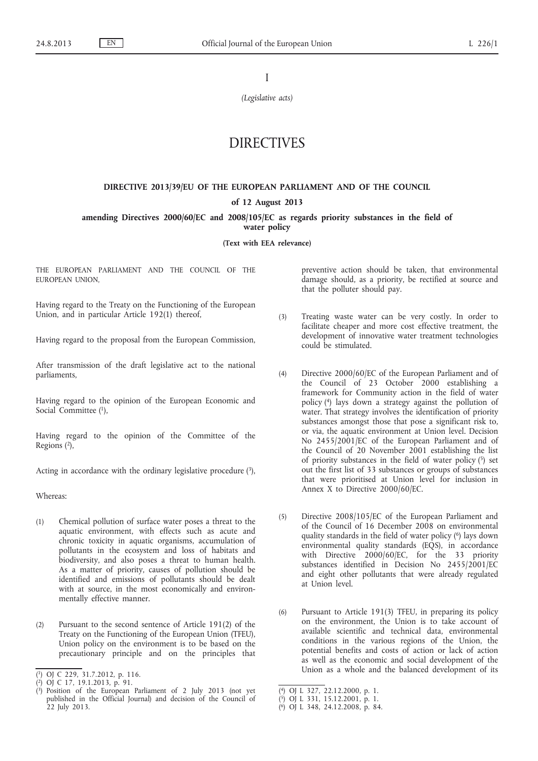I

*(Legislative acts)*

# DIRECTIVES

#### **DIRECTIVE 2013/39/EU OF THE EUROPEAN PARLIAMENT AND OF THE COUNCIL**

### **of 12 August 2013**

**amending Directives 2000/60/EC and 2008/105/EC as regards priority substances in the field of water policy**

**(Text with EEA relevance)**

THE EUROPEAN PARLIAMENT AND THE COUNCIL OF THE EUROPEAN UNION,

Having regard to the Treaty on the Functioning of the European Union, and in particular Article 192(1) thereof,

Having regard to the proposal from the European Commission,

After transmission of the draft legislative act to the national parliaments,

Having regard to the opinion of the European Economic and Social Committee (1),

Having regard to the opinion of the Committee of the Regions (2),

Acting in accordance with the ordinary legislative procedure  $(3)$ ,

Whereas:

- (1) Chemical pollution of surface water poses a threat to the aquatic environment, with effects such as acute and chronic toxicity in aquatic organisms, accumulation of pollutants in the ecosystem and loss of habitats and biodiversity, and also poses a threat to human health. As a matter of priority, causes of pollution should be identified and emissions of pollutants should be dealt with at source, in the most economically and environmentally effective manner.
- (2) Pursuant to the second sentence of Article 191(2) of the Treaty on the Functioning of the European Union (TFEU), Union policy on the environment is to be based on the precautionary principle and on the principles that

preventive action should be taken, that environmental damage should, as a priority, be rectified at source and that the polluter should pay.

- (3) Treating waste water can be very costly. In order to facilitate cheaper and more cost effective treatment, the development of innovative water treatment technologies could be stimulated.
- (4) Directive 2000/60/EC of the European Parliament and of the Council of 23 October 2000 establishing a framework for Community action in the field of water policy (4) lays down a strategy against the pollution of water. That strategy involves the identification of priority substances amongst those that pose a significant risk to, or via, the aquatic environment at Union level. Decision No 2455/2001/EC of the European Parliament and of the Council of 20 November 2001 establishing the list of priority substances in the field of water policy (5) set out the first list of 33 substances or groups of substances that were prioritised at Union level for inclusion in Annex X to Directive 2000/60/EC.
- (5) Directive 2008/105/EC of the European Parliament and of the Council of 16 December 2008 on environmental quality standards in the field of water policy (6) lays down environmental quality standards (EQS), in accordance with Directive 2000/60/EC, for the 33 priority substances identified in Decision No 2455/2001/EC and eight other pollutants that were already regulated at Union level.
- (6) Pursuant to Article 191(3) TFEU, in preparing its policy on the environment, the Union is to take account of available scientific and technical data, environmental conditions in the various regions of the Union, the potential benefits and costs of action or lack of action as well as the economic and social development of the Union as a whole and the balanced development of its

<sup>(</sup> 1) OJ C 229, 31.7.2012, p. 116.

<sup>(</sup> 2) OJ C 17, 19.1.2013, p. 91.

<sup>(</sup> 3) Position of the European Parliament of 2 July 2013 (not yet published in the Official Journal) and decision of the Council of 22 July 2013.

<sup>(</sup> 4) OJ L 327, 22.12.2000, p. 1.

<sup>(</sup> 5) OJ L 331, 15.12.2001, p. 1.

<sup>(</sup> 6) OJ L 348, 24.12.2008, p. 84.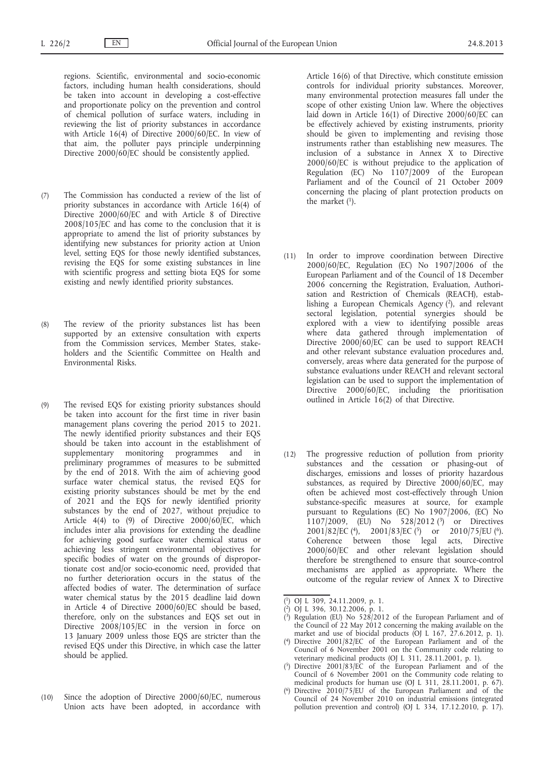regions. Scientific, environmental and socio-economic factors, including human health considerations, should be taken into account in developing a cost-effective and proportionate policy on the prevention and control of chemical pollution of surface waters, including in reviewing the list of priority substances in accordance with Article 16(4) of Directive 2000/60/EC. In view of that aim, the polluter pays principle underpinning Directive 2000/60/EC should be consistently applied.

- (7) The Commission has conducted a review of the list of priority substances in accordance with Article 16(4) of Directive 2000/60/EC and with Article 8 of Directive 2008/105/EC and has come to the conclusion that it is appropriate to amend the list of priority substances by identifying new substances for priority action at Union level, setting EQS for those newly identified substances, revising the EQS for some existing substances in line with scientific progress and setting biota EQS for some existing and newly identified priority substances.
- (8) The review of the priority substances list has been supported by an extensive consultation with experts from the Commission services, Member States, stakeholders and the Scientific Committee on Health and Environmental Risks.
- (9) The revised EQS for existing priority substances should be taken into account for the first time in river basin management plans covering the period 2015 to 2021. The newly identified priority substances and their EQS should be taken into account in the establishment of supplementary monitoring programmes and in preliminary programmes of measures to be submitted by the end of 2018. With the aim of achieving good surface water chemical status, the revised EQS for existing priority substances should be met by the end of 2021 and the EQS for newly identified priority substances by the end of 2027, without prejudice to Article  $4(4)$  to (9) of Directive  $2000/60$ /EC, which includes inter alia provisions for extending the deadline for achieving good surface water chemical status or achieving less stringent environmental objectives for specific bodies of water on the grounds of disproportionate cost and/or socio-economic need, provided that no further deterioration occurs in the status of the affected bodies of water. The determination of surface water chemical status by the 2015 deadline laid down in Article 4 of Directive 2000/60/EC should be based, therefore, only on the substances and EQS set out in Directive 2008/105/EC in the version in force on 13 January 2009 unless those EQS are stricter than the revised EQS under this Directive, in which case the latter should be applied.
- (10) Since the adoption of Directive 2000/60/EC, numerous Union acts have been adopted, in accordance with

Article 16(6) of that Directive, which constitute emission controls for individual priority substances. Moreover, many environmental protection measures fall under the scope of other existing Union law. Where the objectives laid down in Article  $16(1)$  of Directive 2000/60/EC can be effectively achieved by existing instruments, priority should be given to implementing and revising those instruments rather than establishing new measures. The inclusion of a substance in Annex X to Directive 2000/60/EC is without prejudice to the application of Regulation (EC) No 1107/2009 of the European Parliament and of the Council of 21 October 2009 concerning the placing of plant protection products on the market (1).

- (11) In order to improve coordination between Directive 2000/60/EC, Regulation (EC) No 1907/2006 of the European Parliament and of the Council of 18 December 2006 concerning the Registration, Evaluation, Authorisation and Restriction of Chemicals (REACH), establishing a European Chemicals Agency (2), and relevant sectoral legislation, potential synergies should be explored with a view to identifying possible areas where data gathered through implementation of Directive 2000/60/EC can be used to support REACH and other relevant substance evaluation procedures and, conversely, areas where data generated for the purpose of substance evaluations under REACH and relevant sectoral legislation can be used to support the implementation of Directive 2000/60/EC, including the prioritisation outlined in Article 16(2) of that Directive.
- (12) The progressive reduction of pollution from priority substances and the cessation or phasing-out of discharges, emissions and losses of priority hazardous substances, as required by Directive 2000/60/EC, may often be achieved most cost-effectively through Union substance-specific measures at source, for example pursuant to Regulations (EC) No 1907/2006, (EC) No 1107/2009, (EU) No 528/2012 (3) or Directives 2001/82/EC (4), 2001/83/EC (5) or 2010/75/EU (6). Coherence between those legal acts, Directive 2000/60/EC and other relevant legislation should therefore be strengthened to ensure that source-control mechanisms are applied as appropriate. Where the outcome of the regular review of Annex X to Directive
- ( 1) OJ L 309, 24.11.2009, p. 1.
- ( 2) OJ L 396, 30.12.2006, p. 1.
- ( 3) Regulation (EU) No 528/2012 of the European Parliament and of the Council of 22 May 2012 concerning the making available on the market and use of biocidal products (OJ L 167, 27.6.2012, p. 1).
- ( 4) Directive 2001/82/EC of the European Parliament and of the Council of 6 November 2001 on the Community code relating to veterinary medicinal products (OJ L 311, 28.11.2001, p. 1).
- ( 5) Directive 2001/83/EC of the European Parliament and of the Council of 6 November 2001 on the Community code relating to medicinal products for human use (OJ L 311,  $28.11.2001$ , p.  $67$ ).
- ( 6) Directive 2010/75/EU of the European Parliament and of the Council of 24 November 2010 on industrial emissions (integrated pollution prevention and control) (OJ L 334, 17.12.2010, p. 17).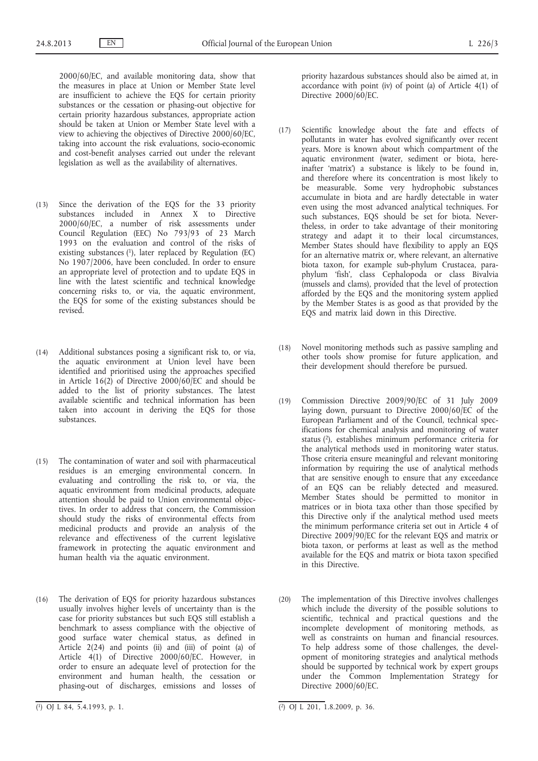2000/60/EC, and available monitoring data, show that the measures in place at Union or Member State level are insufficient to achieve the EQS for certain priority substances or the cessation or phasing-out objective for certain priority hazardous substances, appropriate action should be taken at Union or Member State level with a view to achieving the objectives of Directive 2000/60/EC, taking into account the risk evaluations, socio-economic and cost-benefit analyses carried out under the relevant legislation as well as the availability of alternatives.

- (13) Since the derivation of the EQS for the 33 priority substances included in Annex X to Directive 2000/60/EC, a number of risk assessments under Council Regulation (EEC) No 793/93 of 23 March 1993 on the evaluation and control of the risks of existing substances  $(1)$ , later replaced by Regulation (EC) No 1907/2006, have been concluded. In order to ensure an appropriate level of protection and to update EQS in line with the latest scientific and technical knowledge concerning risks to, or via, the aquatic environment, the EQS for some of the existing substances should be revised.
- (14) Additional substances posing a significant risk to, or via, the aquatic environment at Union level have been identified and prioritised using the approaches specified in Article  $16(2)$  of Directive  $2000/60$ /EC and should be added to the list of priority substances. The latest available scientific and technical information has been taken into account in deriving the EQS for those substances.
- (15) The contamination of water and soil with pharmaceutical residues is an emerging environmental concern. In evaluating and controlling the risk to, or via, the aquatic environment from medicinal products, adequate attention should be paid to Union environmental objectives. In order to address that concern, the Commission should study the risks of environmental effects from medicinal products and provide an analysis of the relevance and effectiveness of the current legislative framework in protecting the aquatic environment and human health via the aquatic environment.
- (16) The derivation of EQS for priority hazardous substances usually involves higher levels of uncertainty than is the case for priority substances but such EQS still establish a benchmark to assess compliance with the objective of good surface water chemical status, as defined in Article 2(24) and points (ii) and (iii) of point (a) of Article 4(1) of Directive 2000/60/EC. However, in order to ensure an adequate level of protection for the environment and human health, the cessation or phasing-out of discharges, emissions and losses of

priority hazardous substances should also be aimed at, in accordance with point (iv) of point (a) of Article 4(1) of Directive 2000/60/EC.

- (17) Scientific knowledge about the fate and effects of pollutants in water has evolved significantly over recent years. More is known about which compartment of the aquatic environment (water, sediment or biota, hereinafter 'matrix') a substance is likely to be found in, and therefore where its concentration is most likely to be measurable. Some very hydrophobic substances accumulate in biota and are hardly detectable in water even using the most advanced analytical techniques. For such substances, EQS should be set for biota. Nevertheless, in order to take advantage of their monitoring strategy and adapt it to their local circumstances, Member States should have flexibility to apply an EQS for an alternative matrix or, where relevant, an alternative biota taxon, for example sub-phylum Crustacea, paraphylum 'fish', class Cephalopoda or class Bivalvia (mussels and clams), provided that the level of protection afforded by the EQS and the monitoring system applied by the Member States is as good as that provided by the EQS and matrix laid down in this Directive.
- (18) Novel monitoring methods such as passive sampling and other tools show promise for future application, and their development should therefore be pursued.
- (19) Commission Directive 2009/90/EC of 31 July 2009 laying down, pursuant to Directive 2000/60/EC of the European Parliament and of the Council, technical specifications for chemical analysis and monitoring of water status (2), establishes minimum performance criteria for the analytical methods used in monitoring water status. Those criteria ensure meaningful and relevant monitoring information by requiring the use of analytical methods that are sensitive enough to ensure that any exceedance of an EQS can be reliably detected and measured. Member States should be permitted to monitor in matrices or in biota taxa other than those specified by this Directive only if the analytical method used meets the minimum performance criteria set out in Article 4 of Directive 2009/90/EC for the relevant EQS and matrix or biota taxon, or performs at least as well as the method available for the EQS and matrix or biota taxon specified in this Directive.
- (20) The implementation of this Directive involves challenges which include the diversity of the possible solutions to scientific, technical and practical questions and the incomplete development of monitoring methods, as well as constraints on human and financial resources. To help address some of those challenges, the development of monitoring strategies and analytical methods should be supported by technical work by expert groups under the Common Implementation Strategy for Directive 2000/60/EC.

 $(1)$  OJ L 84, 5.4.1993, p. 1.

 $\overline{(^2)}$  OJ L 201, 1.8.2009, p. 36.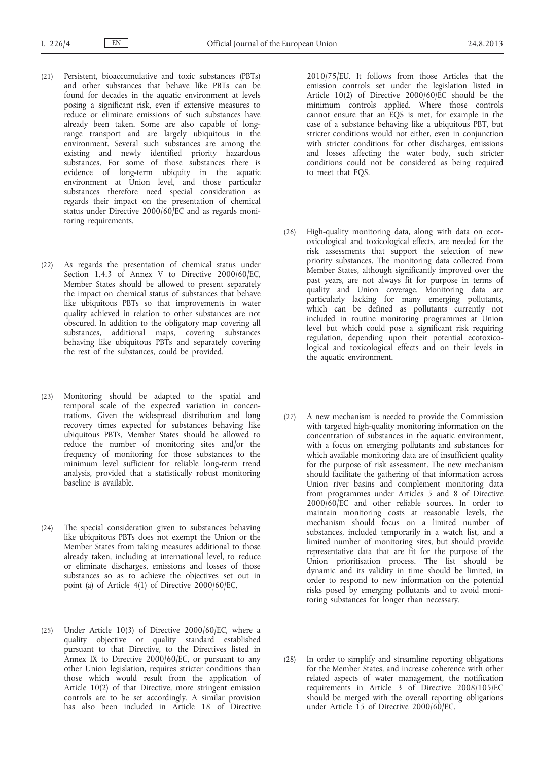- (21) Persistent, bioaccumulative and toxic substances (PBTs) and other substances that behave like PBTs can be found for decades in the aquatic environment at levels posing a significant risk, even if extensive measures to reduce or eliminate emissions of such substances have already been taken. Some are also capable of longrange transport and are largely ubiquitous in the environment. Several such substances are among the existing and newly identified priority hazardous substances. For some of those substances there is evidence of long-term ubiquity in the aquatic environment at Union level, and those particular substances therefore need special consideration as regards their impact on the presentation of chemical status under Directive 2000/60/EC and as regards monitoring requirements.
- (22) As regards the presentation of chemical status under Section 1.4.3 of Annex V to Directive 2000/60/EC, Member States should be allowed to present separately the impact on chemical status of substances that behave like ubiquitous PBTs so that improvements in water quality achieved in relation to other substances are not obscured. In addition to the obligatory map covering all substances, additional maps, covering substances behaving like ubiquitous PBTs and separately covering the rest of the substances, could be provided.
- (23) Monitoring should be adapted to the spatial and temporal scale of the expected variation in concentrations. Given the widespread distribution and long recovery times expected for substances behaving like ubiquitous PBTs, Member States should be allowed to reduce the number of monitoring sites and/or the frequency of monitoring for those substances to the minimum level sufficient for reliable long-term trend analysis, provided that a statistically robust monitoring baseline is available.
- (24) The special consideration given to substances behaving like ubiquitous PBTs does not exempt the Union or the Member States from taking measures additional to those already taken, including at international level, to reduce or eliminate discharges, emissions and losses of those substances so as to achieve the objectives set out in point (a) of Article 4(1) of Directive 2000/60/EC.
- (25) Under Article 10(3) of Directive 2000/60/EC, where a quality objective or quality standard established pursuant to that Directive, to the Directives listed in Annex IX to Directive 2000/60/EC, or pursuant to any other Union legislation, requires stricter conditions than those which would result from the application of Article 10(2) of that Directive, more stringent emission controls are to be set accordingly. A similar provision has also been included in Article 18 of Directive

2010/75/EU. It follows from those Articles that the emission controls set under the legislation listed in Article 10(2) of Directive 2000/60/EC should be the minimum controls applied. Where those controls cannot ensure that an EQS is met, for example in the case of a substance behaving like a ubiquitous PBT, but stricter conditions would not either, even in conjunction with stricter conditions for other discharges, emissions and losses affecting the water body, such stricter conditions could not be considered as being required to meet that EQS.

- (26) High-quality monitoring data, along with data on ecotoxicological and toxicological effects, are needed for the risk assessments that support the selection of new priority substances. The monitoring data collected from Member States, although significantly improved over the past years, are not always fit for purpose in terms of quality and Union coverage. Monitoring data are particularly lacking for many emerging pollutants, which can be defined as pollutants currently not included in routine monitoring programmes at Union level but which could pose a significant risk requiring regulation, depending upon their potential ecotoxicological and toxicological effects and on their levels in the aquatic environment.
- (27) A new mechanism is needed to provide the Commission with targeted high-quality monitoring information on the concentration of substances in the aquatic environment, with a focus on emerging pollutants and substances for which available monitoring data are of insufficient quality for the purpose of risk assessment. The new mechanism should facilitate the gathering of that information across Union river basins and complement monitoring data from programmes under Articles 5 and 8 of Directive 2000/60/EC and other reliable sources. In order to maintain monitoring costs at reasonable levels, the mechanism should focus on a limited number of substances, included temporarily in a watch list, and a limited number of monitoring sites, but should provide representative data that are fit for the purpose of the Union prioritisation process. The list should be dynamic and its validity in time should be limited, in order to respond to new information on the potential risks posed by emerging pollutants and to avoid monitoring substances for longer than necessary.
- (28) In order to simplify and streamline reporting obligations for the Member States, and increase coherence with other related aspects of water management, the notification requirements in Article 3 of Directive 2008/105/EC should be merged with the overall reporting obligations under Article 15 of Directive 2000/60/EC.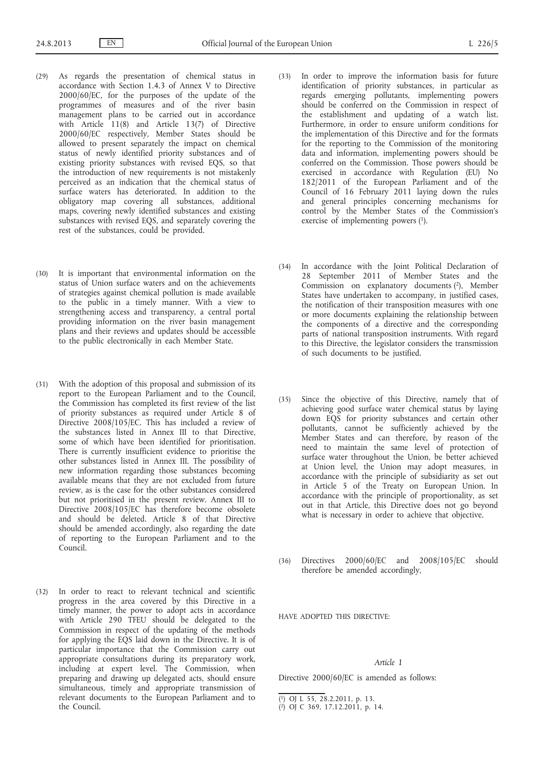- (29) As regards the presentation of chemical status in accordance with Section 1.4.3 of Annex V to Directive 2000/60/EC, for the purposes of the update of the programmes of measures and of the river basin management plans to be carried out in accordance with Article 11(8) and Article 13(7) of Directive 2000/60/EC respectively, Member States should be allowed to present separately the impact on chemical status of newly identified priority substances and of existing priority substances with revised EQS, so that the introduction of new requirements is not mistakenly perceived as an indication that the chemical status of surface waters has deteriorated. In addition to the obligatory map covering all substances, additional maps, covering newly identified substances and existing substances with revised EQS, and separately covering the rest of the substances, could be provided.
- (30) It is important that environmental information on the status of Union surface waters and on the achievements of strategies against chemical pollution is made available to the public in a timely manner. With a view to strengthening access and transparency, a central portal providing information on the river basin management plans and their reviews and updates should be accessible to the public electronically in each Member State.
- (31) With the adoption of this proposal and submission of its report to the European Parliament and to the Council, the Commission has completed its first review of the list of priority substances as required under Article 8 of Directive 2008/105/EC. This has included a review of the substances listed in Annex III to that Directive, some of which have been identified for prioritisation. There is currently insufficient evidence to prioritise the other substances listed in Annex III. The possibility of new information regarding those substances becoming available means that they are not excluded from future review, as is the case for the other substances considered but not prioritised in the present review. Annex III to Directive 2008/105/EC has therefore become obsolete and should be deleted. Article 8 of that Directive should be amended accordingly, also regarding the date of reporting to the European Parliament and to the Council.
- (32) In order to react to relevant technical and scientific progress in the area covered by this Directive in a timely manner, the power to adopt acts in accordance with Article 290 TFEU should be delegated to the Commission in respect of the updating of the methods for applying the EQS laid down in the Directive. It is of particular importance that the Commission carry out appropriate consultations during its preparatory work, including at expert level. The Commission, when preparing and drawing up delegated acts, should ensure simultaneous, timely and appropriate transmission of relevant documents to the European Parliament and to the Council.
- (33) In order to improve the information basis for future identification of priority substances, in particular as regards emerging pollutants, implementing powers should be conferred on the Commission in respect of the establishment and updating of a watch list. Furthermore, in order to ensure uniform conditions for the implementation of this Directive and for the formats for the reporting to the Commission of the monitoring data and information, implementing powers should be conferred on the Commission. Those powers should be exercised in accordance with Regulation (EU) No 182/2011 of the European Parliament and of the Council of 16 February 2011 laying down the rules and general principles concerning mechanisms for control by the Member States of the Commission's exercise of implementing powers (1).
- (34) In accordance with the Joint Political Declaration of 28 September 2011 of Member States and the Commission on explanatory documents  $(2)$ , Member States have undertaken to accompany, in justified cases, the notification of their transposition measures with one or more documents explaining the relationship between the components of a directive and the corresponding parts of national transposition instruments. With regard to this Directive, the legislator considers the transmission of such documents to be justified.
- (35) Since the objective of this Directive, namely that of achieving good surface water chemical status by laying down EQS for priority substances and certain other pollutants, cannot be sufficiently achieved by the Member States and can therefore, by reason of the need to maintain the same level of protection of surface water throughout the Union, be better achieved at Union level, the Union may adopt measures, in accordance with the principle of subsidiarity as set out in Article 5 of the Treaty on European Union. In accordance with the principle of proportionality, as set out in that Article, this Directive does not go beyond what is necessary in order to achieve that objective.
- (36) Directives 2000/60/EC and 2008/105/EC should therefore be amended accordingly,

HAVE ADOPTED THIS DIRECTIVE:

### *Article 1*

Directive 2000/60/EC is amended as follows:

<sup>(</sup> 1) OJ L 55, 28.2.2011, p. 13.

<sup>(</sup> 2) OJ C 369, 17.12.2011, p. 14.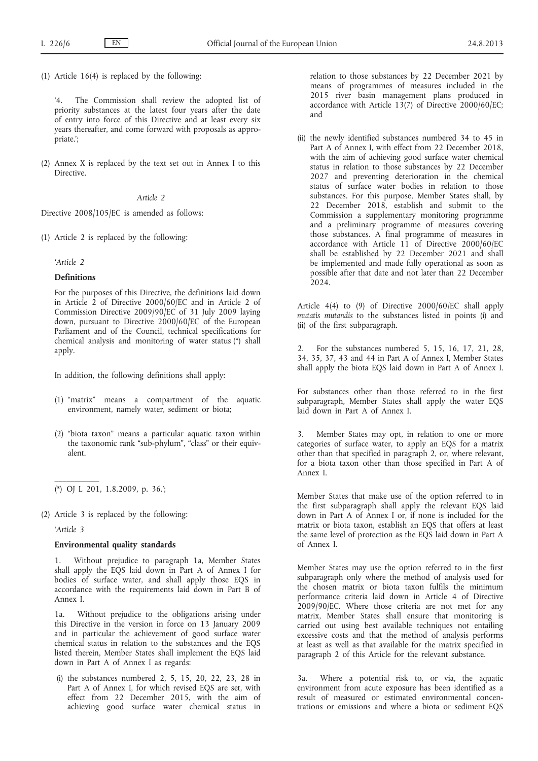(1) Article 16(4) is replaced by the following:

'4. The Commission shall review the adopted list of priority substances at the latest four years after the date of entry into force of this Directive and at least every six years thereafter, and come forward with proposals as appropriate.';

(2) Annex X is replaced by the text set out in Annex I to this Directive.

### *Article 2*

Directive 2008/105/EC is amended as follows:

(1) Article 2 is replaced by the following:

*'Article 2*

### **Definitions**

For the purposes of this Directive, the definitions laid down in Article 2 of Directive 2000/60/EC and in Article 2 of Commission Directive 2009/90/EC of 31 July 2009 laying down, pursuant to Directive 2000/60/EC of the European Parliament and of the Council, technical specifications for chemical analysis and monitoring of water status (\*) shall apply.

In addition, the following definitions shall apply:

- (1) "matrix" means a compartment of the aquatic environment, namely water, sediment or biota;
- (2) "biota taxon" means a particular aquatic taxon within the taxonomic rank "sub-phylum", "class" or their equivalent.

(2) Article 3 is replaced by the following:

### *'Article 3*

 $\mathcal{L}=\mathcal{L}$ 

### **Environmental quality standards**

Without prejudice to paragraph 1a, Member States shall apply the EQS laid down in Part A of Annex I for bodies of surface water, and shall apply those EQS in accordance with the requirements laid down in Part B of Annex I.

1a. Without prejudice to the obligations arising under this Directive in the version in force on 13 January 2009 and in particular the achievement of good surface water chemical status in relation to the substances and the EQS listed therein, Member States shall implement the EQS laid down in Part A of Annex I as regards:

(i) the substances numbered 2, 5, 15, 20, 22, 23, 28 in Part A of Annex I, for which revised EQS are set, with effect from 22 December 2015, with the aim of achieving good surface water chemical status in relation to those substances by 22 December 2021 by means of programmes of measures included in the 2015 river basin management plans produced in accordance with Article 13(7) of Directive 2000/60/EC; and

(ii) the newly identified substances numbered 34 to 45 in Part A of Annex I, with effect from 22 December 2018, with the aim of achieving good surface water chemical status in relation to those substances by 22 December 2027 and preventing deterioration in the chemical status of surface water bodies in relation to those substances. For this purpose, Member States shall, by 22 December 2018, establish and submit to the Commission a supplementary monitoring programme and a preliminary programme of measures covering those substances. A final programme of measures in accordance with Article 11 of Directive 2000/60/EC shall be established by 22 December 2021 and shall be implemented and made fully operational as soon as possible after that date and not later than 22 December  $2024.$ 

Article 4(4) to (9) of Directive 2000/60/EC shall apply *mutatis mutandis* to the substances listed in points (i) and (ii) of the first subparagraph.

2. For the substances numbered 5, 15, 16, 17, 21, 28, 34, 35, 37, 43 and 44 in Part A of Annex I, Member States shall apply the biota EQS laid down in Part A of Annex I.

For substances other than those referred to in the first subparagraph, Member States shall apply the water EQS laid down in Part A of Annex I.

3. Member States may opt, in relation to one or more categories of surface water, to apply an EQS for a matrix other than that specified in paragraph 2, or, where relevant, for a biota taxon other than those specified in Part A of Annex I.

Member States that make use of the option referred to in the first subparagraph shall apply the relevant EQS laid down in Part A of Annex I or, if none is included for the matrix or biota taxon, establish an EQS that offers at least the same level of protection as the EQS laid down in Part A of Annex I.

Member States may use the option referred to in the first subparagraph only where the method of analysis used for the chosen matrix or biota taxon fulfils the minimum performance criteria laid down in Article 4 of Directive 2009/90/EC. Where those criteria are not met for any matrix, Member States shall ensure that monitoring is carried out using best available techniques not entailing excessive costs and that the method of analysis performs at least as well as that available for the matrix specified in paragraph 2 of this Article for the relevant substance.

3a. Where a potential risk to, or via, the aquatic environment from acute exposure has been identified as a result of measured or estimated environmental concentrations or emissions and where a biota or sediment EQS

<sup>(\*)</sup> OJ L 201, 1.8.2009, p. 36.';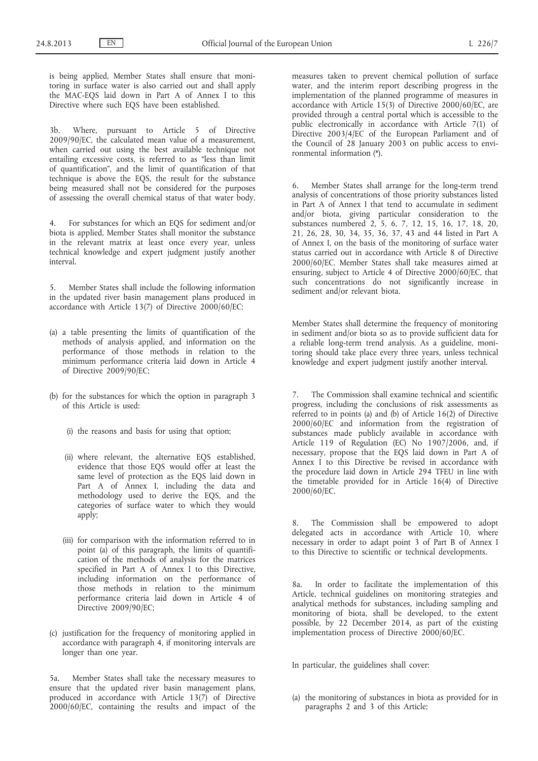is being applied, Member States shall ensure that monitoring in surface water is also carried out and shall apply the MAC-EQS laid down in Part A of Annex I to this Directive where such EQS have been established.

3b. Where, pursuant to Article 5 of Directive 2009/90/EC, the calculated mean value of a measurement, when carried out using the best available technique not entailing excessive costs, is referred to as "less than limit of quantification", and the limit of quantification of that technique is above the EQS, the result for the substance being measured shall not be considered for the purposes of assessing the overall chemical status of that water body.

4. For substances for which an EQS for sediment and/or biota is applied, Member States shall monitor the substance in the relevant matrix at least once every year, unless technical knowledge and expert judgment justify another interval.

5. Member States shall include the following information in the updated river basin management plans produced in accordance with Article 13(7) of Directive 2000/60/EC:

- (a) a table presenting the limits of quantification of the methods of analysis applied, and information on the performance of those methods in relation to the minimum performance criteria laid down in Article 4 of Directive 2009/90/EC;
- (b) for the substances for which the option in paragraph 3 of this Article is used:
	- (i) the reasons and basis for using that option;
	- (ii) where relevant, the alternative EQS established, evidence that those EQS would offer at least the same level of protection as the EQS laid down in Part A of Annex I, including the data and methodology used to derive the EQS, and the categories of surface water to which they would apply;
	- (iii) for comparison with the information referred to in point (a) of this paragraph, the limits of quantification of the methods of analysis for the matrices specified in Part A of Annex I to this Directive, including information on the performance of those methods in relation to the minimum performance criteria laid down in Article 4 of Directive 2009/90/EC;
- (c) justification for the frequency of monitoring applied in accordance with paragraph 4, if monitoring intervals are longer than one year.

5a. Member States shall take the necessary measures to ensure that the updated river basin management plans, produced in accordance with Article 13(7) of Directive 2000/60/EC, containing the results and impact of the

measures taken to prevent chemical pollution of surface water, and the interim report describing progress in the implementation of the planned programme of measures in accordance with Article 15(3) of Directive 2000/60/EC, are provided through a central portal which is accessible to the public electronically in accordance with Article 7(1) of Directive 2003/4/EC of the European Parliament and of the Council of 28 January 2003 on public access to environmental information (\*).

6. Member States shall arrange for the long-term trend analysis of concentrations of those priority substances listed in Part A of Annex I that tend to accumulate in sediment and/or biota, giving particular consideration to the substances numbered 2, 5, 6, 7, 12, 15, 16, 17, 18, 20, 21, 26, 28, 30, 34, 35, 36, 37, 43 and 44 listed in Part A of Annex I, on the basis of the monitoring of surface water status carried out in accordance with Article 8 of Directive 2000/60/EC. Member States shall take measures aimed at ensuring, subject to Article 4 of Directive 2000/60/EC, that such concentrations do not significantly increase in sediment and/or relevant biota.

Member States shall determine the frequency of monitoring in sediment and/or biota so as to provide sufficient data for a reliable long-term trend analysis. As a guideline, monitoring should take place every three years, unless technical knowledge and expert judgment justify another interval.

7. The Commission shall examine technical and scientific progress, including the conclusions of risk assessments as referred to in points (a) and (b) of Article 16(2) of Directive 2000/60/EC and information from the registration of substances made publicly available in accordance with Article 119 of Regulation (EC) No 1907/2006, and, if necessary, propose that the EQS laid down in Part A of Annex I to this Directive be revised in accordance with the procedure laid down in Article 294 TFEU in line with the timetable provided for in Article 16(4) of Directive 2000/60/EC.

8. The Commission shall be empowered to adopt delegated acts in accordance with Article 10, where necessary in order to adapt point 3 of Part B of Annex I to this Directive to scientific or technical developments.

8a. In order to facilitate the implementation of this Article, technical guidelines on monitoring strategies and analytical methods for substances, including sampling and monitoring of biota, shall be developed, to the extent possible, by 22 December 2014, as part of the existing implementation process of Directive 2000/60/EC.

In particular, the guidelines shall cover:

(a) the monitoring of substances in biota as provided for in paragraphs 2 and 3 of this Article;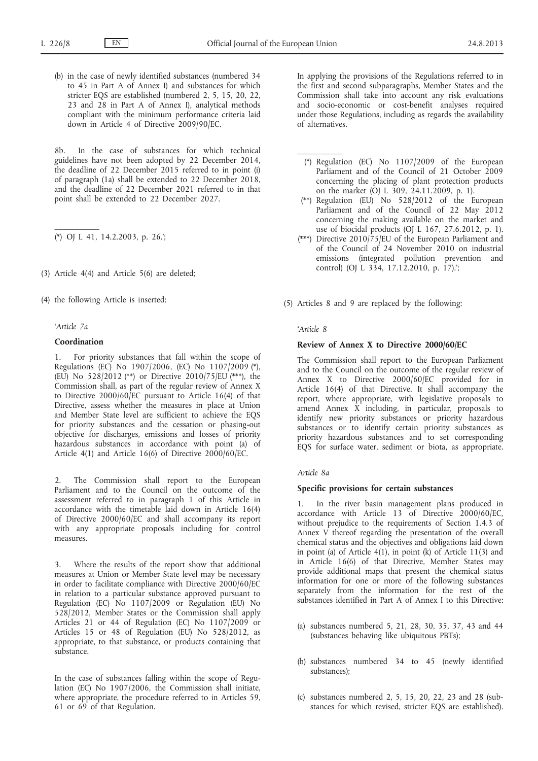(b) in the case of newly identified substances (numbered 34 to 45 in Part A of Annex I) and substances for which stricter EQS are established (numbered 2, 5, 15, 20, 22, 23 and 28 in Part A of Annex I), analytical methods compliant with the minimum performance criteria laid down in Article 4 of Directive 2009/90/EC.

8b. In the case of substances for which technical guidelines have not been adopted by 22 December 2014, the deadline of 22 December 2015 referred to in point (i) of paragraph (1a) shall be extended to 22 December 2018, and the deadline of 22 December 2021 referred to in that point shall be extended to 22 December 2027.

(\*) OJ L 41, 14.2.2003, p. 26.';

(3) Article 4(4) and Article 5(6) are deleted;

(4) the following Article is inserted:

#### *'Article 7a*

 $\mathcal{L}=\mathcal{L}$ 

### **Coordination**

For priority substances that fall within the scope of Regulations (EC) No 1907/2006, (EC) No 1107/2009 (\*), (EU) No 528/2012 (\*\*) or Directive 2010/75/EU (\*\*\*), the Commission shall, as part of the regular review of Annex X to Directive 2000/60/EC pursuant to Article 16(4) of that Directive, assess whether the measures in place at Union and Member State level are sufficient to achieve the EQS for priority substances and the cessation or phasing-out objective for discharges, emissions and losses of priority hazardous substances in accordance with point (a) of Article 4(1) and Article 16(6) of Directive 2000/60/EC.

2. The Commission shall report to the European Parliament and to the Council on the outcome of the assessment referred to in paragraph 1 of this Article in accordance with the timetable laid down in Article 16(4) of Directive 2000/60/EC and shall accompany its report with any appropriate proposals including for control measures.

3. Where the results of the report show that additional measures at Union or Member State level may be necessary in order to facilitate compliance with Directive 2000/60/EC in relation to a particular substance approved pursuant to Regulation (EC) No 1107/2009 or Regulation (EU) No 528/2012, Member States or the Commission shall apply Articles 21 or 44 of Regulation (EC) No  $1107/2009$  or Articles 15 or 48 of Regulation (EU) No 528/2012, as appropriate, to that substance, or products containing that substance.

In the case of substances falling within the scope of Regulation (EC) No 1907/2006, the Commission shall initiate, where appropriate, the procedure referred to in Articles 59, 61 or 69 of that Regulation.

In applying the provisions of the Regulations referred to in the first and second subparagraphs, Member States and the Commission shall take into account any risk evaluations and socio-economic or cost-benefit analyses required under those Regulations, including as regards the availability of alternatives.

- (\*) Regulation (EC) No 1107/2009 of the European Parliament and of the Council of 21 October 2009 concerning the placing of plant protection products on the market (OJ L 309, 24.11.2009, p. 1).
- (\*\*) Regulation (EU) No 528/2012 of the European Parliament and of the Council of 22 May 2012 concerning the making available on the market and use of biocidal products (OJ L 167, 27.6.2012, p. 1).
- (\*\*\*) Directive 2010/75/EU of the European Parliament and of the Council of 24 November 2010 on industrial emissions (integrated pollution prevention and control) (OJ L  $334$ , 17.12.2010, p. 17).;

(5) Articles 8 and 9 are replaced by the following:

#### *'Article 8*

### **Review of Annex X to Directive 2000/60/EC**

The Commission shall report to the European Parliament and to the Council on the outcome of the regular review of Annex X to Directive 2000/60/EC provided for in Article 16(4) of that Directive. It shall accompany the report, where appropriate, with legislative proposals to amend Annex X including, in particular, proposals to identify new priority substances or priority hazardous substances or to identify certain priority substances as priority hazardous substances and to set corresponding EQS for surface water, sediment or biota, as appropriate.

### *Article 8a*

### **Specific provisions for certain substances**

1. In the river basin management plans produced in accordance with Article 13 of Directive 2000/60/EC, without prejudice to the requirements of Section 1.4.3 of Annex V thereof regarding the presentation of the overall chemical status and the objectives and obligations laid down in point (a) of Article 4(1), in point (k) of Article 11(3) and in Article 16(6) of that Directive, Member States may provide additional maps that present the chemical status information for one or more of the following substances separately from the information for the rest of the substances identified in Part A of Annex I to this Directive:

- (a) substances numbered 5, 21, 28, 30, 35, 37, 43 and 44 (substances behaving like ubiquitous PBTs);
- (b) substances numbered 34 to 45 (newly identified substances);
- (c) substances numbered 2, 5, 15, 20, 22, 23 and 28 (substances for which revised, stricter EQS are established).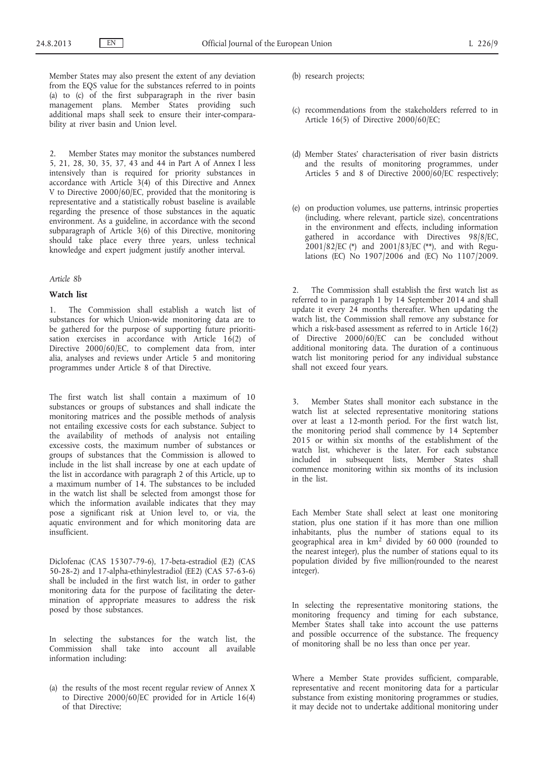Member States may also present the extent of any deviation from the EQS value for the substances referred to in points (a) to (c) of the first subparagraph in the river basin management plans. Member States providing such additional maps shall seek to ensure their inter-comparability at river basin and Union level.

2. Member States may monitor the substances numbered 5, 21, 28, 30, 35, 37, 43 and 44 in Part A of Annex I less intensively than is required for priority substances in accordance with Article 3(4) of this Directive and Annex V to Directive 2000/60/EC, provided that the monitoring is representative and a statistically robust baseline is available regarding the presence of those substances in the aquatic environment. As a guideline, in accordance with the second subparagraph of Article 3(6) of this Directive, monitoring should take place every three years, unless technical knowledge and expert judgment justify another interval.

### *Article 8b*

### **Watch list**

1. The Commission shall establish a watch list of substances for which Union-wide monitoring data are to be gathered for the purpose of supporting future prioritisation exercises in accordance with Article 16(2) of Directive 2000/60/EC, to complement data from, inter alia, analyses and reviews under Article 5 and monitoring programmes under Article 8 of that Directive.

The first watch list shall contain a maximum of 10 substances or groups of substances and shall indicate the monitoring matrices and the possible methods of analysis not entailing excessive costs for each substance. Subject to the availability of methods of analysis not entailing excessive costs, the maximum number of substances or groups of substances that the Commission is allowed to include in the list shall increase by one at each update of the list in accordance with paragraph 2 of this Article, up to a maximum number of 14. The substances to be included in the watch list shall be selected from amongst those for which the information available indicates that they may pose a significant risk at Union level to, or via, the aquatic environment and for which monitoring data are insufficient.

Diclofenac (CAS 15307-79-6), 17-beta-estradiol (E2) (CAS 50-28-2) and 17-alpha-ethinylestradiol (EE2) (CAS 57-63-6) shall be included in the first watch list, in order to gather monitoring data for the purpose of facilitating the determination of appropriate measures to address the risk posed by those substances.

In selecting the substances for the watch list, the Commission shall take into account all available information including:

(a) the results of the most recent regular review of Annex X to Directive 2000/60/EC provided for in Article 16(4) of that Directive;

- (b) research projects;
- (c) recommendations from the stakeholders referred to in Article 16(5) of Directive 2000/60/EC;
- (d) Member States' characterisation of river basin districts and the results of monitoring programmes, under Articles 5 and 8 of Directive 2000/60/EC respectively;
- (e) on production volumes, use patterns, intrinsic properties (including, where relevant, particle size), concentrations in the environment and effects, including information gathered in accordance with Directives 98/8/EC, 2001/82/EC (\*) and 2001/83/EC (\*\*), and with Regulations (EC) No 1907/2006 and (EC) No 1107/2009.

2. The Commission shall establish the first watch list as referred to in paragraph 1 by 14 September 2014 and shall update it every 24 months thereafter. When updating the watch list, the Commission shall remove any substance for which a risk-based assessment as referred to in Article 16(2) of Directive 2000/60/EC can be concluded without additional monitoring data. The duration of a continuous watch list monitoring period for any individual substance shall not exceed four years.

3. Member States shall monitor each substance in the watch list at selected representative monitoring stations over at least a 12-month period. For the first watch list, the monitoring period shall commence by 14 September 2015 or within six months of the establishment of the watch list, whichever is the later. For each substance included in subsequent lists, Member States shall commence monitoring within six months of its inclusion in the list.

Each Member State shall select at least one monitoring station, plus one station if it has more than one million inhabitants, plus the number of stations equal to its geographical area in km<sup>2</sup> divided by 60 000 (rounded to the nearest integer), plus the number of stations equal to its population divided by five million(rounded to the nearest integer).

In selecting the representative monitoring stations, the monitoring frequency and timing for each substance, Member States shall take into account the use patterns and possible occurrence of the substance. The frequency of monitoring shall be no less than once per year.

Where a Member State provides sufficient, comparable, representative and recent monitoring data for a particular substance from existing monitoring programmes or studies, it may decide not to undertake additional monitoring under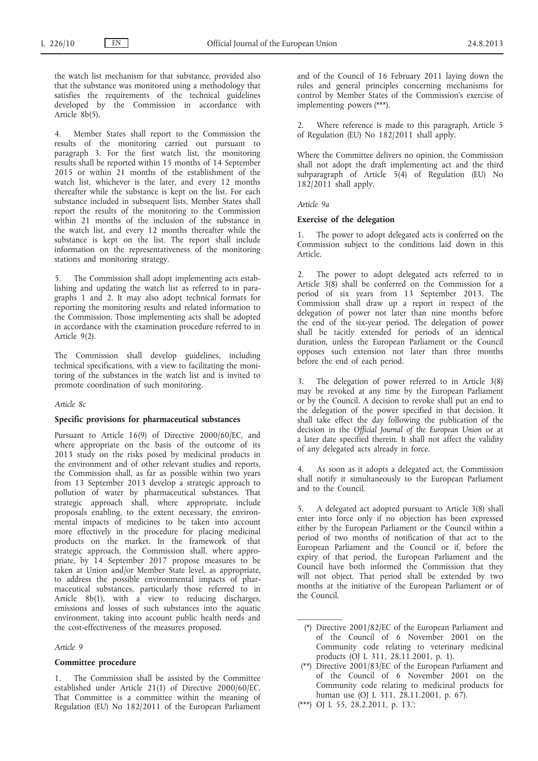the watch list mechanism for that substance, provided also that the substance was monitored using a methodology that satisfies the requirements of the technical guidelines developed by the Commission in accordance with Article 8b(5).

4. Member States shall report to the Commission the results of the monitoring carried out pursuant to paragraph 3. For the first watch list, the monitoring results shall be reported within 15 months of 14 September 2015 or within 21 months of the establishment of the watch list, whichever is the later, and every 12 months thereafter while the substance is kept on the list. For each substance included in subsequent lists, Member States shall report the results of the monitoring to the Commission within 21 months of the inclusion of the substance in the watch list, and every 12 months thereafter while the substance is kept on the list. The report shall include information on the representativeness of the monitoring stations and monitoring strategy.

5. The Commission shall adopt implementing acts establishing and updating the watch list as referred to in paragraphs 1 and 2. It may also adopt technical formats for reporting the monitoring results and related information to the Commission. Those implementing acts shall be adopted in accordance with the examination procedure referred to in Article 9(2).

The Commission shall develop guidelines, including technical specifications, with a view to facilitating the monitoring of the substances in the watch list and is invited to promote coordination of such monitoring.

*Article 8c*

### **Specific provisions for pharmaceutical substances**

Pursuant to Article 16(9) of Directive 2000/60/EC, and where appropriate on the basis of the outcome of its 2013 study on the risks posed by medicinal products in the environment and of other relevant studies and reports, the Commission shall, as far as possible within two years from 13 September 2013 develop a strategic approach to pollution of water by pharmaceutical substances. That strategic approach shall, where appropriate, include proposals enabling, to the extent necessary, the environmental impacts of medicines to be taken into account more effectively in the procedure for placing medicinal products on the market. In the framework of that strategic approach, the Commission shall, where appropriate, by 14 September 2017 propose measures to be taken at Union and/or Member State level, as appropriate, to address the possible environmental impacts of pharmaceutical substances, particularly those referred to in Article 8b(1), with a view to reducing discharges, emissions and losses of such substances into the aquatic environment, taking into account public health needs and the cost-effectiveness of the measures proposed.

*Article 9*

### **Committee procedure**

1. The Commission shall be assisted by the Committee established under Article 21(1) of Directive 2000/60/EC. That Committee is a committee within the meaning of Regulation (EU) No 182/2011 of the European Parliament and of the Council of 16 February 2011 laying down the rules and general principles concerning mechanisms for control by Member States of the Commission's exercise of implementing powers (\*\*\*).

Where reference is made to this paragraph, Article 5 of Regulation (EU) No 182/2011 shall apply.

Where the Committee delivers no opinion, the Commission shall not adopt the draft implementing act and the third subparagraph of Article  $5(4)$  of Regulation (EU) No 182/2011 shall apply.

*Article 9a*

#### **Exercise of the delegation**

1. The power to adopt delegated acts is conferred on the Commission subject to the conditions laid down in this Article.

2. The power to adopt delegated acts referred to in Article 3(8) shall be conferred on the Commission for a period of six years from 13 September 2013. The Commission shall draw up a report in respect of the delegation of power not later than nine months before the end of the six-year period. The delegation of power shall be tacitly extended for periods of an identical duration, unless the European Parliament or the Council opposes such extension not later than three months before the end of each period.

3. The delegation of power referred to in Article 3(8) may be revoked at any time by the European Parliament or by the Council. A decision to revoke shall put an end to the delegation of the power specified in that decision. It shall take effect the day following the publication of the decision in the *Official Journal of the European Union* or at a later date specified therein. It shall not affect the validity of any delegated acts already in force.

As soon as it adopts a delegated act, the Commission shall notify it simultaneously to the European Parliament and to the Council.

5. A delegated act adopted pursuant to Article 3(8) shall enter into force only if no objection has been expressed either by the European Parliament or the Council within a period of two months of notification of that act to the European Parliament and the Council or if, before the expiry of that period, the European Parliament and the Council have both informed the Commission that they will not object. That period shall be extended by two months at the initiative of the European Parliament or of the Council.

- (\*) Directive 2001/82/EC of the European Parliament and of the Council of 6 November 2001 on the Community code relating to veterinary medicinal products (OJ L 311, 28.11.2001, p. 1).
- (\*\*) Directive 2001/83/EC of the European Parliament and of the Council of 6 November 2001 on the Community code relating to medicinal products for human use (OJ L 311, 28.11.2001, p. 67).
- (\*\*\*) OJ L 55, 28.2.2011, p. 13.';

 $\frac{1}{2}$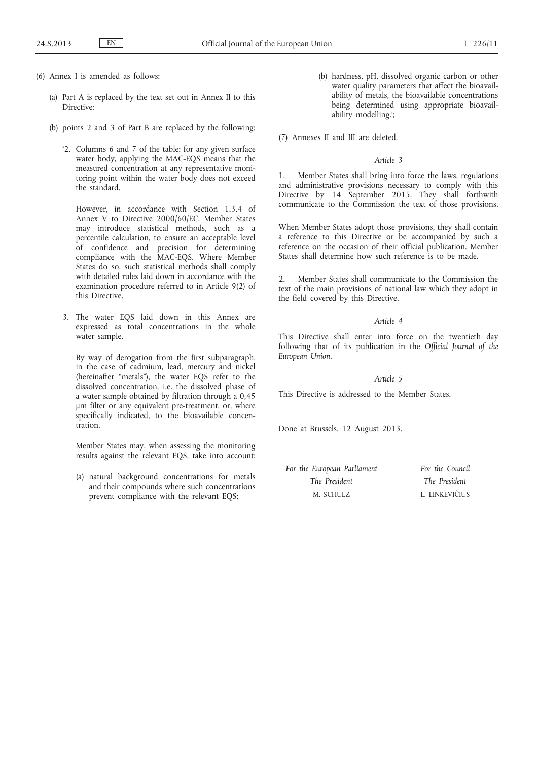- (6) Annex I is amended as follows:
	- (a) Part A is replaced by the text set out in Annex II to this Directive;
	- (b) points 2 and 3 of Part B are replaced by the following:
		- '2. Columns 6 and 7 of the table: for any given surface water body, applying the MAC-EQS means that the measured concentration at any representative monitoring point within the water body does not exceed the standard.

However, in accordance with Section 1.3.4 of Annex V to Directive 2000/60/EC, Member States may introduce statistical methods, such as a percentile calculation, to ensure an acceptable level of confidence and precision for determining compliance with the MAC-EQS. Where Member States do so, such statistical methods shall comply with detailed rules laid down in accordance with the examination procedure referred to in Article 9(2) of this Directive.

3. The water EQS laid down in this Annex are expressed as total concentrations in the whole water sample.

By way of derogation from the first subparagraph, in the case of cadmium, lead, mercury and nickel (hereinafter "metals"), the water EQS refer to the dissolved concentration, i.e. the dissolved phase of a water sample obtained by filtration through a 0,45 μm filter or any equivalent pre-treatment, or, where specifically indicated, to the bioavailable concentration.

Member States may, when assessing the monitoring results against the relevant EQS, take into account:

(a) natural background concentrations for metals and their compounds where such concentrations prevent compliance with the relevant EQS;

(b) hardness, pH, dissolved organic carbon or other water quality parameters that affect the bioavailability of metals, the bioavailable concentrations being determined using appropriate bioavailability modelling.';

(7) Annexes II and III are deleted.

### *Article 3*

1. Member States shall bring into force the laws, regulations and administrative provisions necessary to comply with this Directive by 14 September 2015. They shall forthwith communicate to the Commission the text of those provisions.

When Member States adopt those provisions, they shall contain a reference to this Directive or be accompanied by such a reference on the occasion of their official publication. Member States shall determine how such reference is to be made.

2. Member States shall communicate to the Commission the text of the main provisions of national law which they adopt in the field covered by this Directive.

### *Article 4*

This Directive shall enter into force on the twentieth day following that of its publication in the *Official Journal of the European Union*.

### *Article 5*

This Directive is addressed to the Member States.

Done at Brussels, 12 August 2013.

| For the European Parliament | For the Council |
|-----------------------------|-----------------|
| The President               | The President   |
| M. SCHULZ                   | L. LINKEVIČIUS  |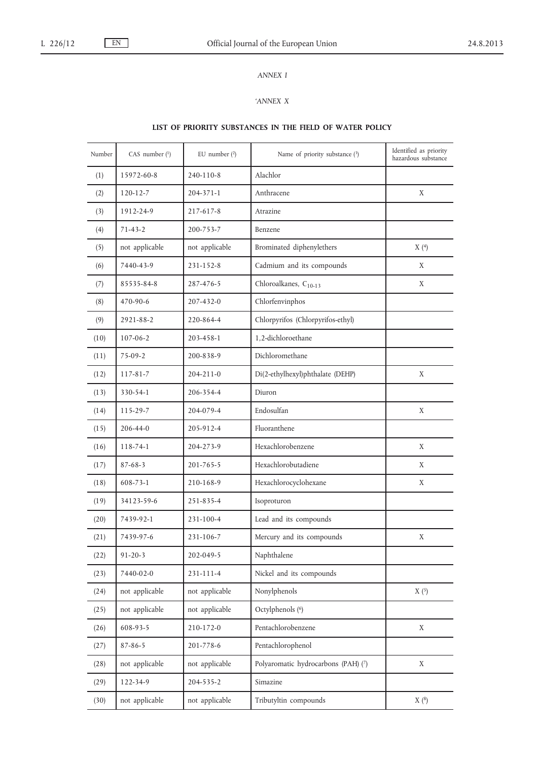# *ANNEX I*

### *'ANNEX X*

# **LIST OF PRIORITY SUBSTANCES IN THE FIELD OF WATER POLICY**

| Number | CAS number $(1)$ | EU number $(2)$ | Name of priority substance (3)      | Identified as priority<br>hazardous substance |
|--------|------------------|-----------------|-------------------------------------|-----------------------------------------------|
| (1)    | 15972-60-8       | 240-110-8       | Alachlor                            |                                               |
| (2)    | $120 - 12 - 7$   | 204-371-1       | Anthracene                          | X                                             |
| (3)    | 1912-24-9        | 217-617-8       | Atrazine                            |                                               |
| (4)    | $71 - 43 - 2$    | 200-753-7       | Benzene                             |                                               |
| (5)    | not applicable   | not applicable  | Brominated diphenylethers           | X(4)                                          |
| (6)    | 7440-43-9        | 231-152-8       | Cadmium and its compounds           | X                                             |
| (7)    | 85535-84-8       | 287-476-5       | Chloroalkanes, $C_{10-13}$          | X                                             |
| (8)    | 470-90-6         | 207-432-0       | Chlorfenvinphos                     |                                               |
| (9)    | 2921-88-2        | 220-864-4       | Chlorpyrifos (Chlorpyrifos-ethyl)   |                                               |
| (10)   | $107 - 06 - 2$   | 203-458-1       | 1.2-dichloroethane                  |                                               |
| (11)   | $75-09-2$        | 200-838-9       | Dichloromethane                     |                                               |
| (12)   | $117 - 81 - 7$   | 204-211-0       | Di(2-ethylhexyl)phthalate (DEHP)    | X                                             |
| (13)   | 330-54-1         | 206-354-4       | Diuron                              |                                               |
| (14)   | 115-29-7         | 204-079-4       | Endosulfan                          | X                                             |
| (15)   | $206 - 44 - 0$   | 205-912-4       | Fluoranthene                        |                                               |
| (16)   | 118-74-1         | 204-273-9       | Hexachlorobenzene                   | X                                             |
| (17)   | $87 - 68 - 3$    | 201-765-5       | Hexachlorobutadiene                 | X                                             |
| (18)   | 608-73-1         | 210-168-9       | Hexachlorocyclohexane               | X                                             |
| (19)   | 34123-59-6       | 251-835-4       | Isoproturon                         |                                               |
| (20)   | 7439-92-1        | 231-100-4       | Lead and its compounds              |                                               |
| (21)   | 7439-97-6        | 231-106-7       | Mercury and its compounds           | X                                             |
| (22)   | $91 - 20 - 3$    | 202-049-5       | Naphthalene                         |                                               |
| (23)   | 7440-02-0        | 231-111-4       | Nickel and its compounds            |                                               |
| (24)   | not applicable   | not applicable  | Nonylphenols                        | X(5)                                          |
| (25)   | not applicable   | not applicable  | Octylphenols (6)                    |                                               |
| (26)   | 608-93-5         | 210-172-0       | Pentachlorobenzene                  | X                                             |
| (27)   | $87 - 86 - 5$    | 201-778-6       | Pentachlorophenol                   |                                               |
| (28)   | not applicable   | not applicable  | Polyaromatic hydrocarbons (PAH) (7) | X                                             |
| (29)   | 122-34-9         | 204-535-2       | Simazine                            |                                               |
| (30)   | not applicable   | not applicable  | Tributyltin compounds               | X(8)                                          |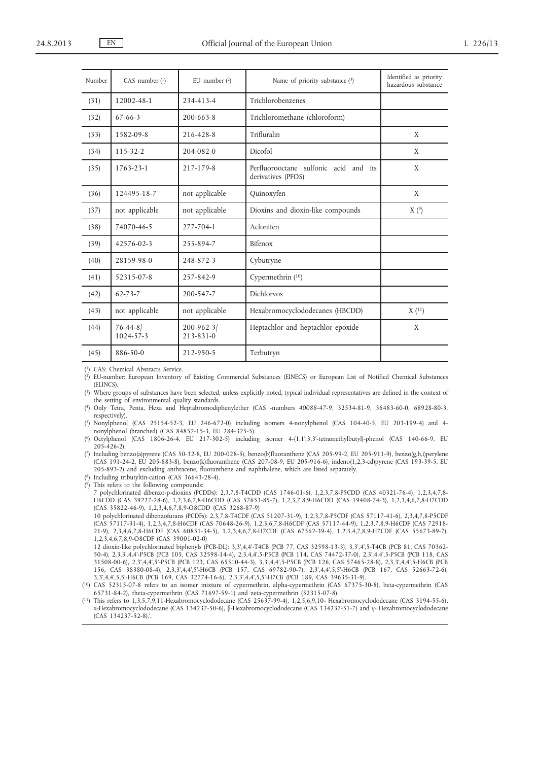| Number | CAS number $(1)$           | EU number $(2)$                    | Name of priority substance (3)                              | Identified as priority<br>hazardous substance |
|--------|----------------------------|------------------------------------|-------------------------------------------------------------|-----------------------------------------------|
| (31)   | 12002-48-1                 | 234-413-4                          | Trichlorobenzenes                                           |                                               |
| (32)   | $67 - 66 - 3$              | $200 - 663 - 8$                    | Trichloromethane (chloroform)                               |                                               |
| (33)   | 1582-09-8                  | 216-428-8                          | Trifluralin                                                 | X                                             |
| (34)   | $115 - 32 - 2$             | 204-082-0                          | Dicofol                                                     | X                                             |
| (35)   | 1763-23-1                  | 217-179-8                          | Perfluorooctane sulfonic acid and its<br>derivatives (PFOS) | X                                             |
| (36)   | 124495-18-7                | not applicable                     | Quinoxyfen                                                  | X                                             |
| (37)   | not applicable             | not applicable                     | Dioxins and dioxin-like compounds                           | X(9)                                          |
| (38)   | 74070-46-5                 | 277-704-1                          | Aclonifen                                                   |                                               |
| (39)   | 42576-02-3                 | 255-894-7                          | Bifenox                                                     |                                               |
| (40)   | 28159-98-0                 | 248-872-3                          | Cybutryne                                                   |                                               |
| (41)   | 52315-07-8                 | 257-842-9                          | Cypermethrin $(10)$                                         |                                               |
| (42)   | $62 - 73 - 7$              | 200-547-7                          | Dichlorvos                                                  |                                               |
| (43)   | not applicable             | not applicable                     | Hexabromocyclododecanes (HBCDD)                             | X(11)                                         |
| (44)   | $76 - 44 - 8$<br>1024-57-3 | $200 - 962 - 3$<br>$213 - 831 - 0$ | Heptachlor and heptachlor epoxide                           | X                                             |
| (45)   | 886-50-0                   | 212-950-5                          | Terbutryn                                                   |                                               |

( 1) CAS: Chemical Abstracts Service.

( 2) EU-number: European Inventory of Existing Commercial Substances (EINECS) or European List of Notified Chemical Substances (ELINCS).

( 3) Where groups of substances have been selected, unless explicitly noted, typical individual representatives are defined in the context of the setting of environmental quality standards.

( 4) Only Tetra, Penta, Hexa and Heptabromodiphenylether (CAS -numbers *40088-47-9*, 32534-81-9, 36483-60-0, 68928-80-3, respectively).

( 5) Nonylphenol (CAS 25154-52-3, EU 246-672-0) including isomers 4-nonylphenol (CAS 104-40-5, EU 203-199-4) and 4 nonylphenol (branched) (CAS 84852-15-3, EU 284-325-5).

( 6) Octylphenol (CAS 1806-26-4, EU 217-302-5) including isomer 4-(1,1',3,3'-tetramethylbutyl)-phenol (CAS 140-66-9, EU 205-426-2).

( 7) Including benzo(a)pyrene (CAS 50-32-8, EU 200-028-5), benzo(b)fluoranthene (CAS 205-99-2, EU 205-911-9), benzo(g,h,i)perylene (CAS 191-24-2, EU 205-883-8), benzo(k)fluoranthene (CAS 207-08-9, EU 205-916-6), indeno(1,2,3-cd)pyrene (CAS 193-39-5, EU 205-893-2) and excluding anthracene, fluoranthene and naphthalene, which are listed separately.

( 8) Including tributyltin-cation (CAS 36643-28-4). ( 9) This refers to the following compounds:

7 polychlorinated dibenzo-p-dioxins (PCDDs): 2,3,7,8-T4CDD (CAS 1746-01-6), 1,2,3,7,8-P5CDD (CAS 40321-76-4), 1,2,3,4,7,8- H6CDD (CAS 39227-28-6), 1,2,3,6,7,8-H6CDD (CAS 57653-85-7), 1,2,3,7,8,9-H6CDD (CAS 19408-74-3), 1,2,3,4,6,7,8-H7CDD (CAS 35822-46-9), 1,2,3,4,6,7,8,9-O8CDD (CAS 3268-87-9)

10 polychlorinated dibenzofurans (PCDFs): 2,3,7,8-T4CDF (CAS 51207-31-9), 1,2,3,7,8-P5CDF (CAS 57117-41-6), 2,3,4,7,8-P5CDF (CAS 57117-31-4), 1,2,3,4,7,8-H6CDF (CAS 70648-26-9), 1,2,3,6,7,8-H6CDF (CAS 57117-44-9), 1,2,3,7,8,9-H6CDF (CAS 72918- 21-9), 2,3,4,6,7,8-H6CDF (CAS 60851-34-5), 1,2,3,4,6,7,8-H7CDF (CAS 67562-39-4), 1,2,3,4,7,8,9-H7CDF (CAS 55673-89-7), 1,2,3,4,6,7,8,9-O8CDF (CAS 39001-02-0)

12 dioxin-like polychlorinated biphenyls (PCB-DL): 3,3',4,4'-T4CB (PCB 77, CAS 32598-13-3), 3,3',4',5-T4CB (PCB 81, CAS 70362- 50-4), 2,3,3',4,4'-P5CB (PCB 105, CAS 32598-14-4), 2,3,4,4',5-P5CB (PCB 114, CAS 74472-37-0), 2,3',4,4',5-P5CB (PCB 118, CAS 31508-00-6), 2,3',4,4',5'-P5CB (PCB 123, CAS 65510-44-3), 3,3',4,4',5-P5CB (PCB 126, CAS 57465-28-8), 2,3,3',4,4',5-H6CB (PCB 156, CAS 38380-08-4), 2,3,3',4,4',5'-H6CB (PCB 157, CAS 69782-90-7), 2,3',4,4',5,5'-H6CB (PCB 167, CAS 52663-72-6), 3,3',4,4',5,5'-H6CB (PCB 169, CAS 32774-16-6), 2,3,3',4,4',5,5'-H7CB (PCB 189, CAS 39635-31-9).

( 10) CAS 52315-07-8 refers to an isomer mixture of cypermethrin, alpha-cypermethrin (CAS 67375-30-8), beta-cypermethrin (CAS 65731-84-2), theta-cypermethrin (CAS 71697-59-1) and zeta-cypermethrin (52315-07-8).

( 11) This refers to 1,3,5,7,9,11-Hexabromocyclododecane (CAS 25637-99-4), 1,2,5,6,9,10- Hexabromocyclododecane (CAS 3194-55-6), α-Hexabromocyclododecane (CAS 134237-50-6), β-Hexabromocyclododecane (CAS 134237-51-7) and γ- Hexabromocyclododecane (CAS 134237-52-8).'.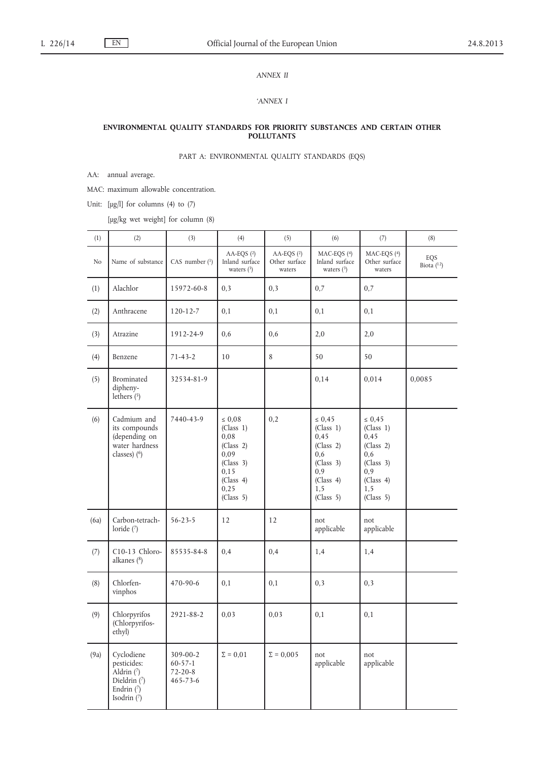# *ANNEX II*

### *'ANNEX I*

#### **ENVIRONMENTAL QUALITY STANDARDS FOR PRIORITY SUBSTANCES AND CERTAIN OTHER POLLUTANTS**

# PART A: ENVIRONMENTAL QUALITY STANDARDS (EQS)

AA: annual average.

MAC: maximum allowable concentration.

Unit:  $[\mu g/l]$  for columns (4) to (7)

[μg/kg wet weight] for column (8)

| (1)  | (2)                                                                                      | (3)                                                          | (4)                                                                                                          | (5)                                     | (6)                                                                                                        | (7)                                                                                                        | (8)                 |
|------|------------------------------------------------------------------------------------------|--------------------------------------------------------------|--------------------------------------------------------------------------------------------------------------|-----------------------------------------|------------------------------------------------------------------------------------------------------------|------------------------------------------------------------------------------------------------------------|---------------------|
| No   | Name of substance                                                                        | CAS number $(1)$                                             | AA-EQS $(2)$<br>Inland surface<br>waters $(3)$                                                               | AA-EQS $(2)$<br>Other surface<br>waters | MAC-EQS (4)<br>Inland surface<br>waters $(3)$                                                              | MAC-EQS $(4)$<br>Other surface<br>waters                                                                   | EQS<br>Biota $(12)$ |
| (1)  | Alachlor                                                                                 | 15972-60-8                                                   | 0,3                                                                                                          | 0,3                                     | 0,7                                                                                                        | 0,7                                                                                                        |                     |
| (2)  | Anthracene                                                                               | $120 - 12 - 7$                                               | 0,1                                                                                                          | 0,1                                     | 0,1                                                                                                        | 0,1                                                                                                        |                     |
| (3)  | Atrazine                                                                                 | 1912-24-9                                                    | 0,6                                                                                                          | 0,6                                     | 2,0                                                                                                        | 2,0                                                                                                        |                     |
| (4)  | Benzene                                                                                  | $71 - 43 - 2$                                                | 10                                                                                                           | 8                                       | 50                                                                                                         | 50                                                                                                         |                     |
| (5)  | Brominated<br>dipheny-<br>lethers $(5)$                                                  | 32534-81-9                                                   |                                                                                                              |                                         | 0,14                                                                                                       | 0,014                                                                                                      | 0,0085              |
| (6)  | Cadmium and<br>its compounds<br>(depending on<br>water hardness<br>classes) (6)          | 7440-43-9                                                    | $\leq 0.08$<br>(Class 1)<br>0,08<br>(Class 2)<br>0,09<br>(Class 3)<br>0,15<br>(Class 4)<br>0,25<br>(Class 5) | 0,2                                     | $\leq 0.45$<br>(Class 1)<br>0,45<br>(Class 2)<br>0, 6<br>(Class 3)<br>0,9<br>(Class 4)<br>1,5<br>(Class 5) | $\leq 0.45$<br>(Class 1)<br>0,45<br>(Class 2)<br>0, 6<br>(Class 3)<br>0,9<br>(Class 4)<br>1,5<br>(Class 5) |                     |
| (6a) | Carbon-tetrach-<br>loride $(7)$                                                          | $56 - 23 - 5$                                                | 12                                                                                                           | 12                                      | not<br>applicable                                                                                          | not<br>applicable                                                                                          |                     |
| (7)  | C10-13 Chloro-<br>alkanes $(8)$                                                          | 85535-84-8                                                   | 0,4                                                                                                          | 0,4                                     | 1,4                                                                                                        | 1,4                                                                                                        |                     |
| (8)  | Chlorfen-<br>vinphos                                                                     | 470-90-6                                                     | 0,1                                                                                                          | 0,1                                     | 0,3                                                                                                        | 0,3                                                                                                        |                     |
| (9)  | Chlorpyrifos<br>(Chlorpyrifos-<br>ethyl)                                                 | 2921-88-2                                                    | 0,03                                                                                                         | 0,03                                    | 0,1                                                                                                        | 0,1                                                                                                        |                     |
| (9a) | Cyclodiene<br>pesticides:<br>Aldrin (7)<br>Dieldrin (7)<br>Endrin $(7)$<br>Isodrin $(7)$ | 309-00-2<br>$60 - 57 - 1$<br>$72 - 20 - 8$<br>$465 - 73 - 6$ | $\Sigma = 0.01$                                                                                              | $\Sigma = 0,005$                        | not<br>applicable                                                                                          | not<br>applicable                                                                                          |                     |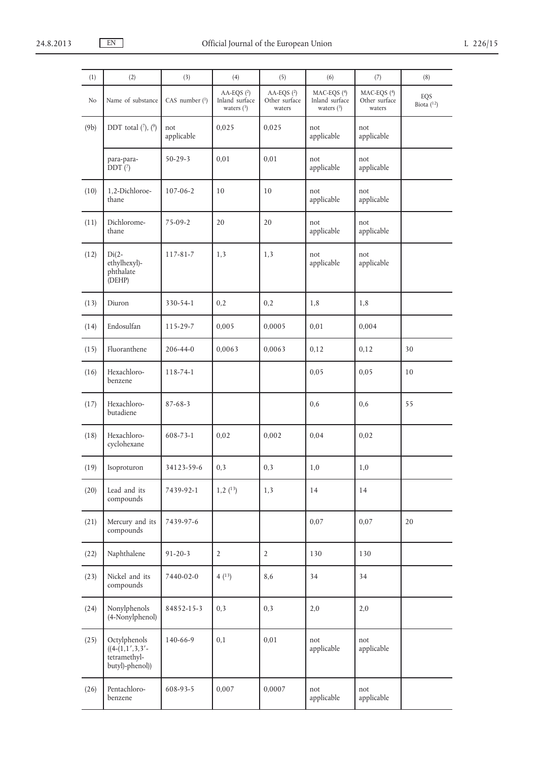| (1)  | (2)                                                                  | (3)               | (4)                                          | (5)                                     | (6)                                                    | (7)                                    | (8)                 |
|------|----------------------------------------------------------------------|-------------------|----------------------------------------------|-----------------------------------------|--------------------------------------------------------|----------------------------------------|---------------------|
| No   | Name of substance                                                    | CAS number (1)    | AA-EQS (2)<br>Inland surface<br>waters $(3)$ | AA-EQS $(2)$<br>Other surface<br>waters | MAC-EQS (4)<br>Inland surface<br>waters $\binom{3}{2}$ | MAC-EQS (4)<br>Other surface<br>waters | EQS<br>Biota $(12)$ |
| (9b) | DDT total $(\frac{7}{7})$ , $(\frac{9}{7})$                          | not<br>applicable | 0,025                                        | 0,025                                   | not<br>applicable                                      | not<br>applicable                      |                     |
|      | para-para-<br>DDT(7)                                                 | $50 - 29 - 3$     | 0,01                                         | 0,01                                    | not<br>applicable                                      | not<br>applicable                      |                     |
| (10) | 1,2-Dichloroe-<br>thane                                              | 107-06-2          | 10                                           | 10                                      | not<br>applicable                                      | not<br>applicable                      |                     |
| (11) | Dichlorome-<br>thane                                                 | 75-09-2           | 20                                           | 20                                      | not<br>applicable                                      | not<br>applicable                      |                     |
| (12) | $Di(2-$<br>ethylhexyl)-<br>phthalate<br>(DEHP)                       | 117-81-7          | 1,3                                          | 1,3                                     | not<br>applicable                                      | not<br>applicable                      |                     |
| (13) | Diuron                                                               | 330-54-1          | 0,2                                          | 0,2                                     | 1,8                                                    | 1,8                                    |                     |
| (14) | Endosulfan                                                           | 115-29-7          | 0,005                                        | 0,0005                                  | 0,01                                                   | 0,004                                  |                     |
| (15) | Fluoranthene                                                         | 206-44-0          | 0,0063                                       | 0,0063                                  | 0,12                                                   | 0,12                                   | 30                  |
| (16) | Hexachloro-<br>benzene                                               | 118-74-1          |                                              |                                         | 0,05                                                   | 0,05                                   | 10                  |
| (17) | Hexachloro-<br>butadiene                                             | $87 - 68 - 3$     |                                              |                                         | 0,6                                                    | 0,6                                    | 55                  |
| (18) | Hexachloro-<br>cyclohexane                                           | 608-73-1          | 0,02                                         | 0,002                                   | 0,04                                                   | 0,02                                   |                     |
| (19) | Isoproturon                                                          | 34123-59-6        | 0,3                                          | 0,3                                     | 1,0                                                    | 1,0                                    |                     |
| (20) | Lead and its<br>compounds                                            | 7439-92-1         | $1,2$ $(13)$                                 | 1,3                                     | 14                                                     | 14                                     |                     |
| (21) | Mercury and its<br>compounds                                         | 7439-97-6         |                                              |                                         | 0,07                                                   | 0,07                                   | 20                  |
| (22) | Naphthalene                                                          | $91 - 20 - 3$     | $\overline{2}$                               | $\overline{2}$                          | 130                                                    | 130                                    |                     |
| (23) | Nickel and its<br>compounds                                          | 7440-02-0         | 4(13)                                        | 8,6                                     | 34                                                     | 34                                     |                     |
| (24) | Nonylphenols<br>(4-Nonylphenol)                                      | 84852-15-3        | 0,3                                          | 0,3                                     | 2,0                                                    | 2,0                                    |                     |
| (25) | Octylphenols<br>$((4-(1,1',3,3'-$<br>tetramethyl-<br>butyl)-phenol)) | 140-66-9          | 0,1                                          | 0,01                                    | not<br>applicable                                      | not<br>applicable                      |                     |
| (26) | Pentachloro-<br>benzene                                              | 608-93-5          | 0,007                                        | 0,0007                                  | not<br>applicable                                      | not<br>applicable                      |                     |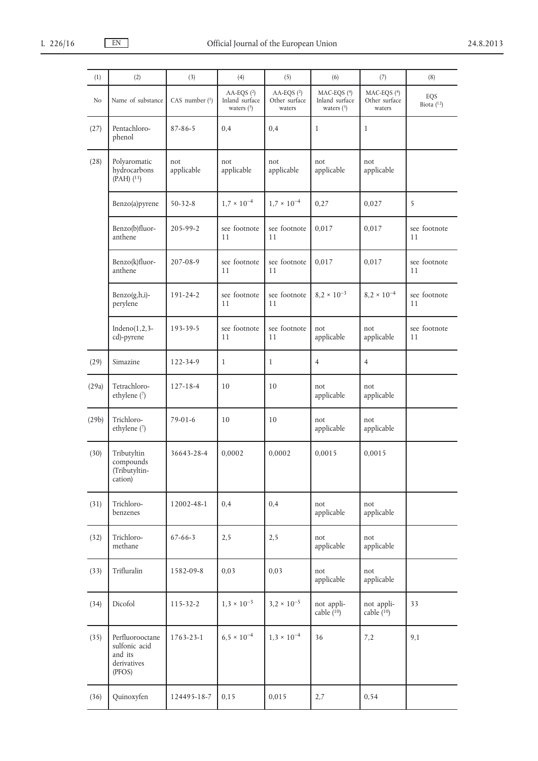| (1)   | (2)                                                                  | (3)               | (4)                                            | (5)                                     | (6)                                           | (7)                                    | (8)                 |
|-------|----------------------------------------------------------------------|-------------------|------------------------------------------------|-----------------------------------------|-----------------------------------------------|----------------------------------------|---------------------|
| No    | Name of substance                                                    | CAS number $(1)$  | AA-EQS $(2)$<br>Inland surface<br>waters $(3)$ | AA-EQS $(2)$<br>Other surface<br>waters | MAC-EQS (4)<br>Inland surface<br>waters $(3)$ | MAC-EQS (4)<br>Other surface<br>waters | EQS<br>Biota $(12)$ |
| (27)  | Pentachloro-<br>phenol                                               | $87 - 86 - 5$     | 0,4                                            | 0,4                                     | $\mathbf{1}$                                  | $\mathbf{1}$                           |                     |
| (28)  | Polyaromatic<br>hydrocarbons<br>$(PAH)$ $(^{11})$                    | not<br>applicable | not<br>applicable                              | not<br>applicable                       | not<br>applicable                             | not<br>applicable                      |                     |
|       | Benzo(a)pyrene                                                       | $50 - 32 - 8$     | $1.7 \times 10^{-4}$                           | $1.7 \times 10^{-4}$                    | 0,27                                          | 0,027                                  | 5                   |
|       | Benzo(b)fluor-<br>anthene                                            | 205-99-2          | see footnote<br>11                             | see footnote<br>11                      | 0,017                                         | 0,017                                  | see footnote<br>11  |
|       | Benzo(k)fluor-<br>anthene                                            | 207-08-9          | see footnote<br>11                             | see footnote<br>11                      | 0,017                                         | 0,017                                  | see footnote<br>11  |
|       | $Benzo(g,h,i)$ -<br>perylene                                         | 191-24-2          | see footnote<br>11                             | see footnote<br>11                      | $8,2 \times 10^{-3}$                          | $8,2 \times 10^{-4}$                   | see footnote<br>11  |
|       | Indeno $(1,2,3-$<br>cd)-pyrene                                       | 193-39-5          | see footnote<br>11                             | see footnote<br>11                      | not<br>applicable                             | not<br>applicable                      | see footnote<br>11  |
| (29)  | Simazine                                                             | 122-34-9          | $\mathbf{1}$                                   | $\mathbf{1}$                            | $\overline{4}$                                | $\overline{4}$                         |                     |
| (29a) | Tetrachloro-<br>ethylene (7)                                         | $127 - 18 - 4$    | 10                                             | 10                                      | not<br>applicable                             | not<br>applicable                      |                     |
| (29b) | Trichloro-<br>ethylene (7)                                           | $79-01-6$         | 10                                             | 10                                      | not<br>applicable                             | not<br>applicable                      |                     |
| (30)  | Tributyltin<br>compounds<br>(Tributyltin-<br>cation)                 | 36643-28-4        | 0,0002                                         | 0,0002                                  | 0,0015                                        | 0,0015                                 |                     |
| (31)  | Trichloro-<br>benzenes                                               | 12002-48-1        | 0,4                                            | 0,4                                     | not<br>applicable                             | not<br>applicable                      |                     |
| (32)  | Trichloro-<br>methane                                                | $67 - 66 - 3$     | 2,5                                            | 2,5                                     | not<br>applicable                             | not<br>applicable                      |                     |
| (33)  | Trifluralin                                                          | 1582-09-8         | 0,03                                           | 0,03                                    | not<br>applicable                             | not<br>applicable                      |                     |
| (34)  | Dicofol                                                              | $115 - 32 - 2$    | $1,3 \times 10^{-3}$                           | $3,2 \times 10^{-5}$                    | not appli-<br>cable $(10)$                    | not appli-<br>cable $(10)$             | 33                  |
| (35)  | Perfluorooctane<br>sulfonic acid<br>and its<br>derivatives<br>(PFOS) | 1763-23-1         | $6.5 \times 10^{-4}$                           | $1,3 \times 10^{-4}$                    | 36                                            | 7,2                                    | 9,1                 |
| (36)  | Quinoxyfen                                                           | 124495-18-7       | 0,15                                           | 0,015                                   | 2,7                                           | 0,54                                   |                     |